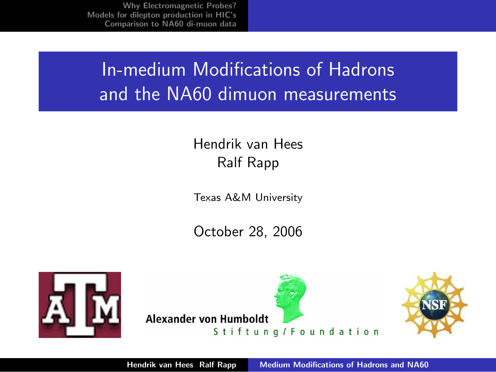# In-medium Modifications of Hadrons and the NA60 dimuon measurements

#### Hendrik van Hees Ralf Rapp

Texas A&M University

<span id="page-0-0"></span>October 28, 2006



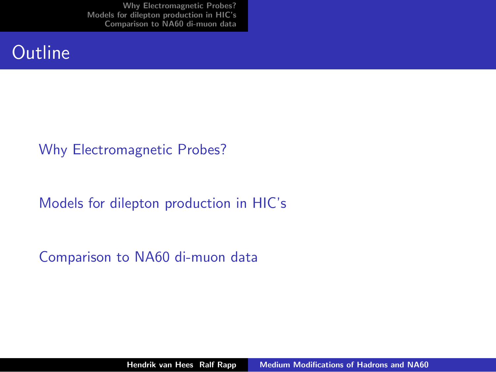#### **Outline**

#### [Why Electromagnetic Probes?](#page-2-0)

[Models for dilepton production in HIC's](#page-4-0)

[Comparison to NA60 di-muon data](#page-5-0)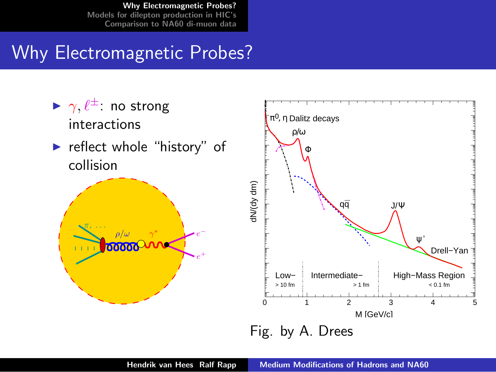## Why Electromagnetic Probes?

<span id="page-2-0"></span>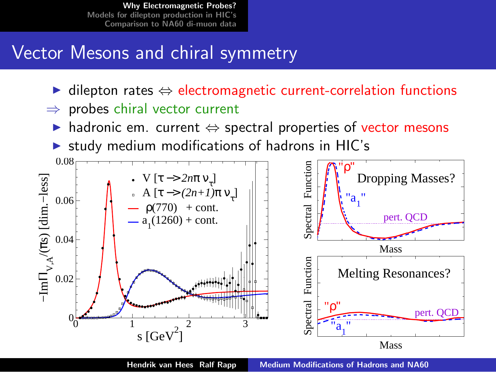## Vector Mesons and chiral symmetry

- dilepton rates  $\Leftrightarrow$  electromagnetic current-correlation functions
- $\Rightarrow$  probes chiral vector current
	- $\triangleright$  hadronic em. current  $\Leftrightarrow$  spectral properties of vector mesons
	- study medium modifications of hadrons in HIC's

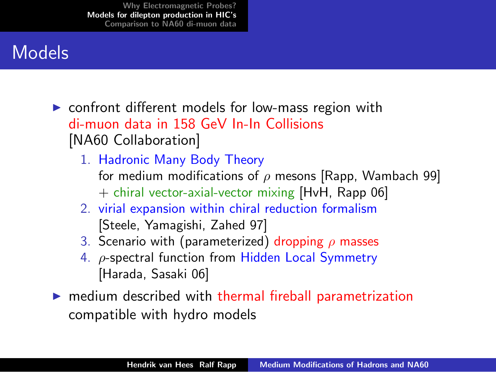## Models

- $\triangleright$  confront different models for low-mass region with di-muon data in 158 GeV In-In Collisions [NA60 Collaboration]
	- 1. Hadronic Many Body Theory for medium modifications of  $\rho$  mesons [Rapp, Wambach 99] + chiral vector-axial-vector mixing [HvH, Rapp 06]
	- 2. virial expansion within chiral reduction formalism [Steele, Yamagishi, Zahed 97]
	- 3. Scenario with (parameterized) dropping  $\rho$  masses
	- 4. ρ-spectral function from Hidden Local Symmetry [Harada, Sasaki 06]
- <span id="page-4-0"></span> $\blacktriangleright$  medium described with thermal fireball parametrization compatible with hydro models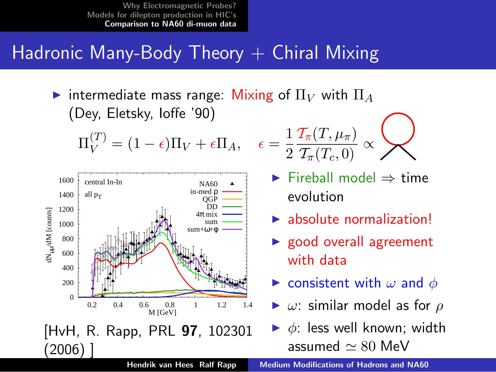### Hadronic Many-Body Theory  $+$  Chiral Mixing

intermediate mass range: Mixing of  $\Pi_V$  with  $\Pi_A$ (Dey, Eletsky, Ioffe '90)

$$
\Pi_V^{(T)} = (1 - \epsilon)\Pi_V + \epsilon \Pi_A, \quad \epsilon =
$$



$$
:=\frac{1}{2}\frac{\mathcal{T}_\pi(T,\mu_\pi)}{\mathcal{T}_\pi(T_c,0)}\propto\left.\bigotimes\right.
$$

- $\blacktriangleright$  Fireball model  $\Rightarrow$  time evolution
- $\blacktriangleright$  absolute normalization!
- $\blacktriangleright$  good overall agreement with data
- **Exercise is consistent with**  $\omega$  **and**  $\phi$
- $\blacktriangleright$   $\omega$ : similar model as for  $\rho$
- <span id="page-5-0"></span> $\triangleright$   $\phi$ : less well known; width assumed  $\simeq 80$  MeV

Hendrik van Hees Ralf Rapp [Medium Modifications of Hadrons and NA60](#page-0-0)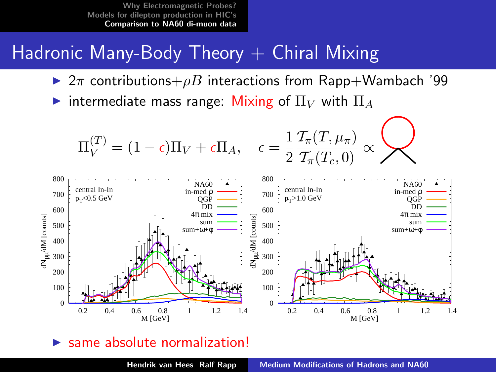### Hadronic Many-Body Theory  $+$  Chiral Mixing

- $\triangleright$  2 $\pi$  contributions+ $\rho B$  interactions from Rapp+Wambach '99
- intermediate mass range: Mixing of  $\Pi_V$  with  $\Pi_A$

$$
\Pi_V^{(T)} = (1 - \epsilon)\Pi_V + \epsilon \Pi_A, \quad \epsilon = \frac{1}{2} \frac{\mathcal{T}_{\pi}(T, \mu_{\pi})}{\mathcal{T}_{\pi}(T_c, 0)} \propto \mathcal{W}
$$



#### same absolute normalization!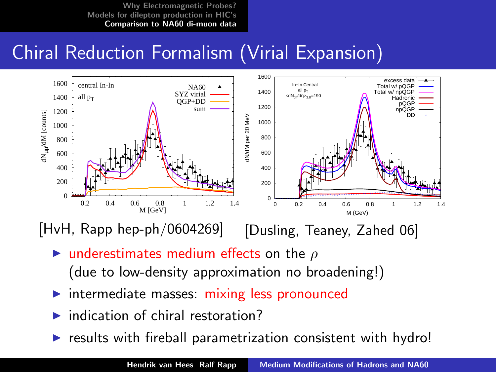## Chiral Reduction Formalism (Virial Expansion)



[HvH, Rapp hep-ph/0604269] [Dusling, Teaney, Zahed 06]

- I underestimates medium effects on the  $\rho$ (due to low-density approximation no broadening!)
- $\blacktriangleright$  intermediate masses: mixing less pronounced
- $\blacktriangleright$  indication of chiral restoration?
- results with fireball parametrization consistent with hydro!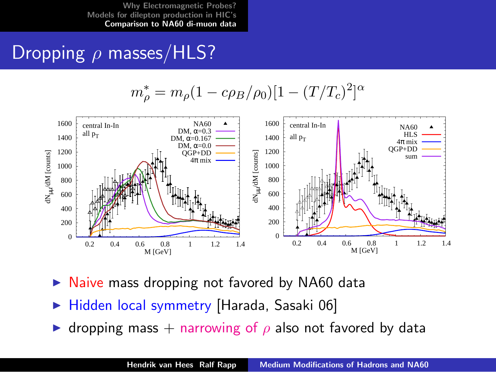## Dropping  $\rho$  masses/HLS?

$$
m_{\rho}^* = m_{\rho} (1 - c\rho_B/\rho_0)[1 - (T/T_c)^2]^{\alpha}
$$



- Naive mass dropping not favored by NA60 data
- Hidden local symmetry [Harada, Sasaki 06]
- dropping mass + narrowing of  $\rho$  also not favored by data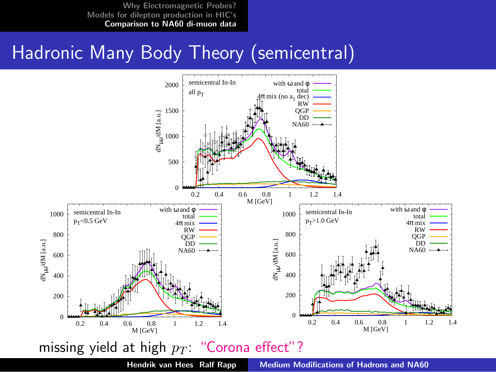## Hadronic Many Body Theory (semicentral)



Hendrik van Hees Ralf Rapp [Medium Modifications of Hadrons and NA60](#page-0-0)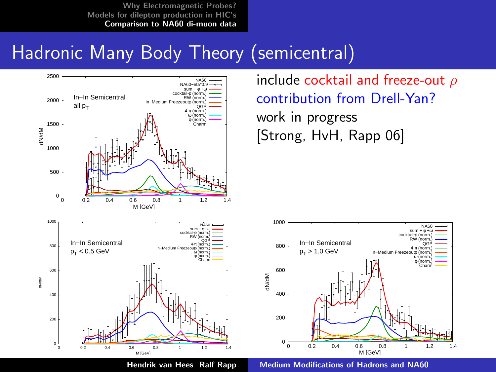## Hadronic Many Body Theory (semicentral)



include cocktail and freeze-out  $\rho$ contribution from Drell-Yan? work in progress [Strong, HvH, Rapp 06]



Hendrik van Hees Ralf Rapp [Medium Modifications of Hadrons and NA60](#page-0-0)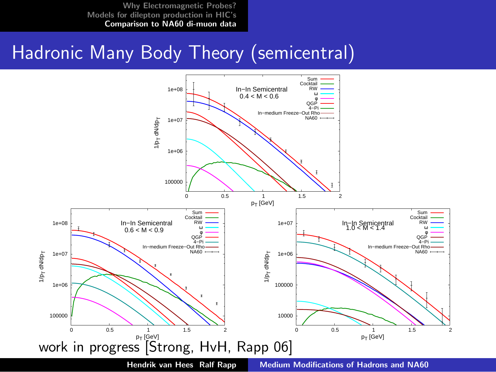## Hadronic Many Body Theory (semicentral)